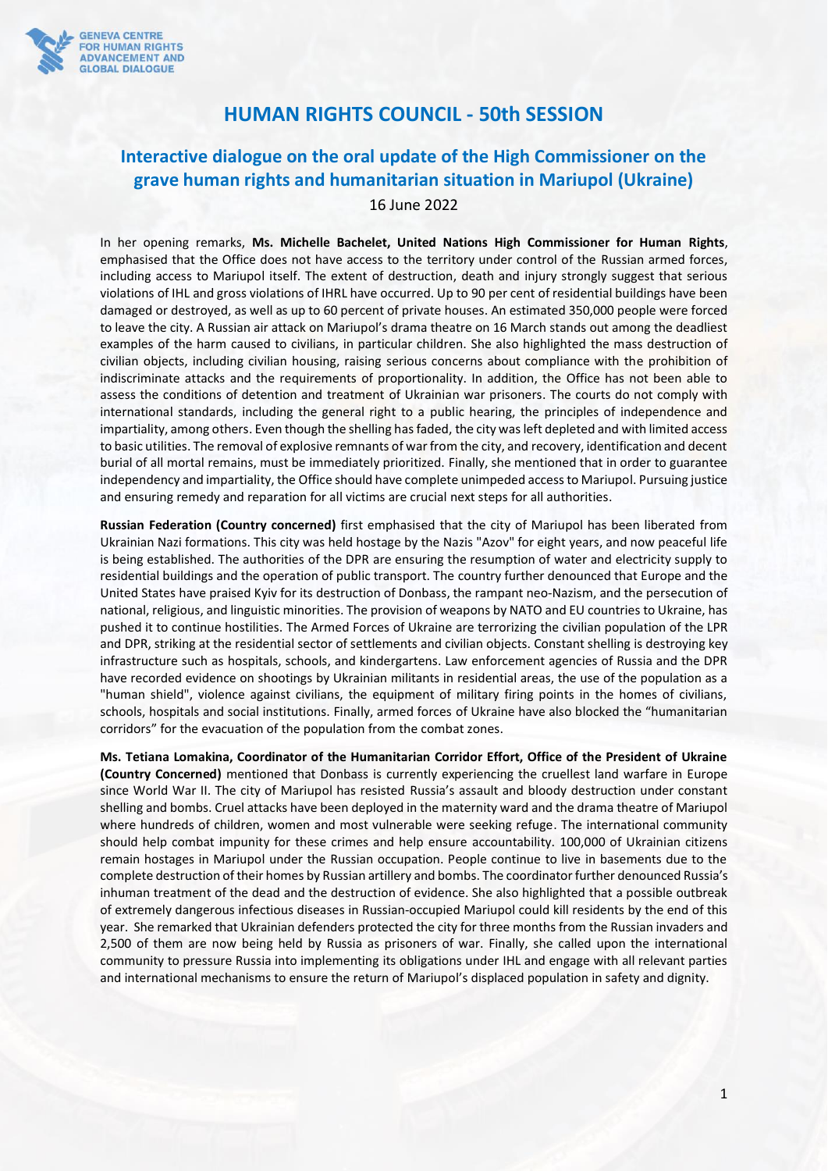

## **HUMAN RIGHTS COUNCIL - 50th SESSION**

## **Interactive dialogue on the oral update of the High Commissioner on the grave human rights and humanitarian situation in Mariupol (Ukraine)**

16 June 2022

In her opening remarks, **Ms. Michelle Bachelet, United Nations High Commissioner for Human Rights**, emphasised that the Office does not have access to the territory under control of the Russian armed forces, including access to Mariupol itself. The extent of destruction, death and injury strongly suggest that serious violations of IHL and gross violations of IHRL have occurred. Up to 90 per cent of residential buildings have been damaged or destroyed, as well as up to 60 percent of private houses. An estimated 350,000 people were forced to leave the city. A Russian air attack on Mariupol's drama theatre on 16 March stands out among the deadliest examples of the harm caused to civilians, in particular children. She also highlighted the mass destruction of civilian objects, including civilian housing, raising serious concerns about compliance with the prohibition of indiscriminate attacks and the requirements of proportionality. In addition, the Office has not been able to assess the conditions of detention and treatment of Ukrainian war prisoners. The courts do not comply with international standards, including the general right to a public hearing, the principles of independence and impartiality, among others. Even though the shelling has faded, the city was left depleted and with limited access to basic utilities. The removal of explosive remnants of war from the city, and recovery, identification and decent burial of all mortal remains, must be immediately prioritized. Finally, she mentioned that in order to guarantee independency and impartiality, the Office should have complete unimpeded access to Mariupol. Pursuing justice and ensuring remedy and reparation for all victims are crucial next steps for all authorities.

**Russian Federation (Country concerned)** first emphasised that the city of Mariupol has been liberated from Ukrainian Nazi formations. This city was held hostage by the Nazis "Azov" for eight years, and now peaceful life is being established. The authorities of the DPR are ensuring the resumption of water and electricity supply to residential buildings and the operation of public transport. The country further denounced that Europe and the United States have praised Kyiv for its destruction of Donbass, the rampant neo-Nazism, and the persecution of national, religious, and linguistic minorities. The provision of weapons by NATO and EU countries to Ukraine, has pushed it to continue hostilities. The Armed Forces of Ukraine are terrorizing the civilian population of the LPR and DPR, striking at the residential sector of settlements and civilian objects. Constant shelling is destroying key infrastructure such as hospitals, schools, and kindergartens. Law enforcement agencies of Russia and the DPR have recorded evidence on shootings by Ukrainian militants in residential areas, the use of the population as a "human shield", violence against civilians, the equipment of military firing points in the homes of civilians, schools, hospitals and social institutions. Finally, armed forces of Ukraine have also blocked the "humanitarian corridors" for the evacuation of the population from the combat zones.

**Ms. Tetiana Lomakina, Coordinator of the Humanitarian Corridor Effort, Office of the President of Ukraine (Country Concerned)** mentioned that Donbass is currently experiencing the cruellest land warfare in Europe since World War II. The city of Mariupol has resisted Russia's assault and bloody destruction under constant shelling and bombs. Cruel attacks have been deployed in the maternity ward and the drama theatre of Mariupol where hundreds of children, women and most vulnerable were seeking refuge. The international community should help combat impunity for these crimes and help ensure accountability. 100,000 of Ukrainian citizens remain hostages in Mariupol under the Russian occupation. People continue to live in basements due to the complete destruction of their homes by Russian artillery and bombs. The coordinator further denounced Russia's inhuman treatment of the dead and the destruction of evidence. She also highlighted that a possible outbreak of extremely dangerous infectious diseases in Russian-occupied Mariupol could kill residents by the end of this year. She remarked that Ukrainian defenders protected the city for three months from the Russian invaders and 2,500 of them are now being held by Russia as prisoners of war. Finally, she called upon the international community to pressure Russia into implementing its obligations under IHL and engage with all relevant parties and international mechanisms to ensure the return of Mariupol's displaced population in safety and dignity.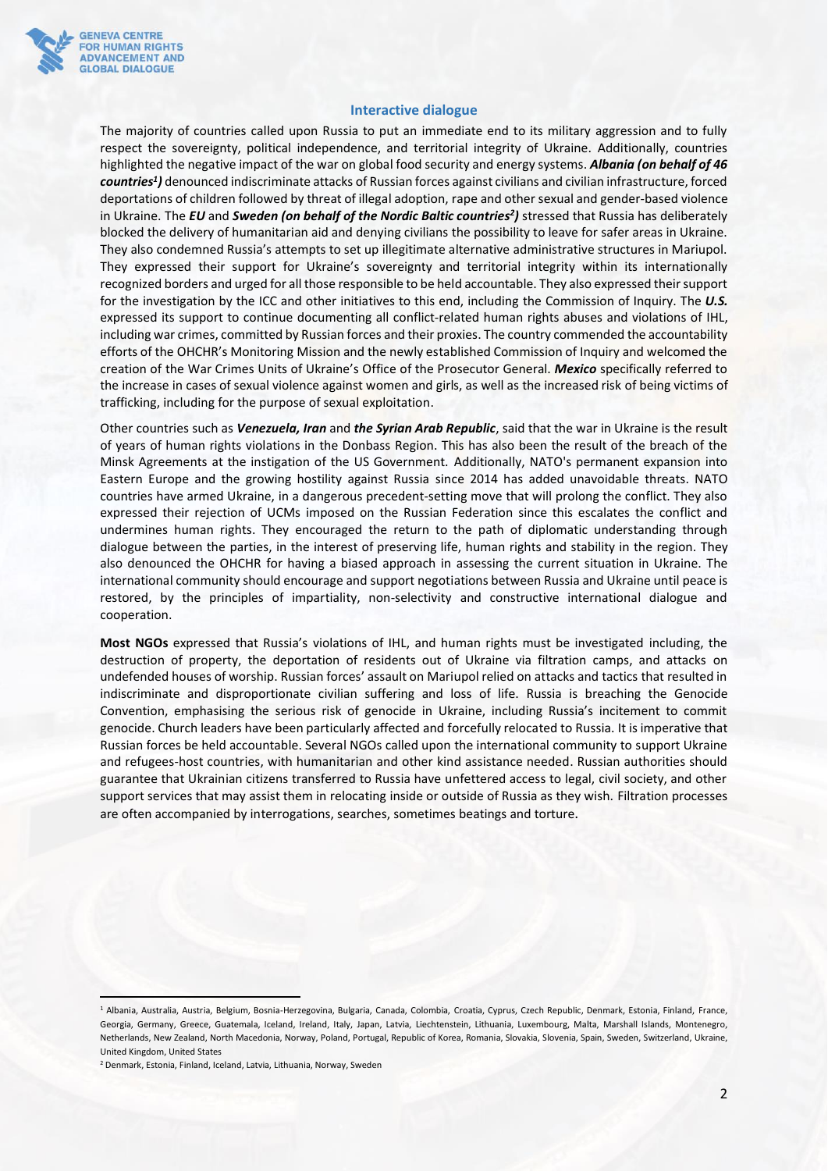

## **Interactive dialogue**

The majority of countries called upon Russia to put an immediate end to its military aggression and to fully respect the sovereignty, political independence, and territorial integrity of Ukraine. Additionally, countries highlighted the negative impact of the war on global food security and energy systems. *Albania (on behalf of 46 countries<sup>1</sup> )* denounced indiscriminate attacks of Russian forces against civilians and civilian infrastructure, forced deportations of children followed by threat of illegal adoption, rape and other sexual and gender-based violence in Ukraine. The *EU* and *Sweden (on behalf of the Nordic Baltic countries<sup>2</sup> )* stressed that Russia has deliberately blocked the delivery of humanitarian aid and denying civilians the possibility to leave for safer areas in Ukraine. They also condemned Russia's attempts to set up illegitimate alternative administrative structures in Mariupol. They expressed their support for Ukraine's sovereignty and territorial integrity within its internationally recognized borders and urged for all those responsible to be held accountable. They also expressed their support for the investigation by the ICC and other initiatives to this end, including the Commission of Inquiry. The *U.S.* expressed its support to continue documenting all conflict-related human rights abuses and violations of IHL, including war crimes, committed by Russian forces and their proxies. The country commended the accountability efforts of the OHCHR's Monitoring Mission and the newly established Commission of Inquiry and welcomed the creation of the War Crimes Units of Ukraine's Office of the Prosecutor General. *Mexico* specifically referred to the increase in cases of sexual violence against women and girls, as well as the increased risk of being victims of trafficking, including for the purpose of sexual exploitation.

Other countries such as *Venezuela, Iran* and *the Syrian Arab Republic*, said that the war in Ukraine is the result of years of human rights violations in the Donbass Region. This has also been the result of the breach of the Minsk Agreements at the instigation of the US Government. Additionally, NATO's permanent expansion into Eastern Europe and the growing hostility against Russia since 2014 has added unavoidable threats. NATO countries have armed Ukraine, in a dangerous precedent-setting move that will prolong the conflict. They also expressed their rejection of UCMs imposed on the Russian Federation since this escalates the conflict and undermines human rights. They encouraged the return to the path of diplomatic understanding through dialogue between the parties, in the interest of preserving life, human rights and stability in the region. They also denounced the OHCHR for having a biased approach in assessing the current situation in Ukraine. The international community should encourage and support negotiations between Russia and Ukraine until peace is restored, by the principles of impartiality, non-selectivity and constructive international dialogue and cooperation.

**Most NGOs** expressed that Russia's violations of IHL, and human rights must be investigated including, the destruction of property, the deportation of residents out of Ukraine via filtration camps, and attacks on undefended houses of worship. Russian forces' assault on Mariupol relied on attacks and tactics that resulted in indiscriminate and disproportionate civilian suffering and loss of life. Russia is breaching the Genocide Convention, emphasising the serious risk of genocide in Ukraine, including Russia's incitement to commit genocide. Church leaders have been particularly affected and forcefully relocated to Russia. It is imperative that Russian forces be held accountable. Several NGOs called upon the international community to support Ukraine and refugees-host countries, with humanitarian and other kind assistance needed. Russian authorities should guarantee that Ukrainian citizens transferred to Russia have unfettered access to legal, civil society, and other support services that may assist them in relocating inside or outside of Russia as they wish. Filtration processes are often accompanied by interrogations, searches, sometimes beatings and torture.

<sup>&</sup>lt;sup>1</sup> Albania, Australia, Austria, Belgium, Bosnia-Herzegovina, Bulgaria, Canada, Colombia, Croatia, Cyprus, Czech Republic, Denmark, Estonia, Finland, France, Georgia, Germany, Greece, Guatemala, Iceland, Ireland, Italy, Japan, Latvia, Liechtenstein, Lithuania, Luxembourg, Malta, Marshall Islands, Montenegro, Netherlands, New Zealand, North Macedonia, Norway, Poland, Portugal, Republic of Korea, Romania, Slovakia, Slovenia, Spain, Sweden, Switzerland, Ukraine, United Kingdom, United States

<sup>2</sup> Denmark, Estonia, Finland, Iceland, Latvia, Lithuania, Norway, Sweden